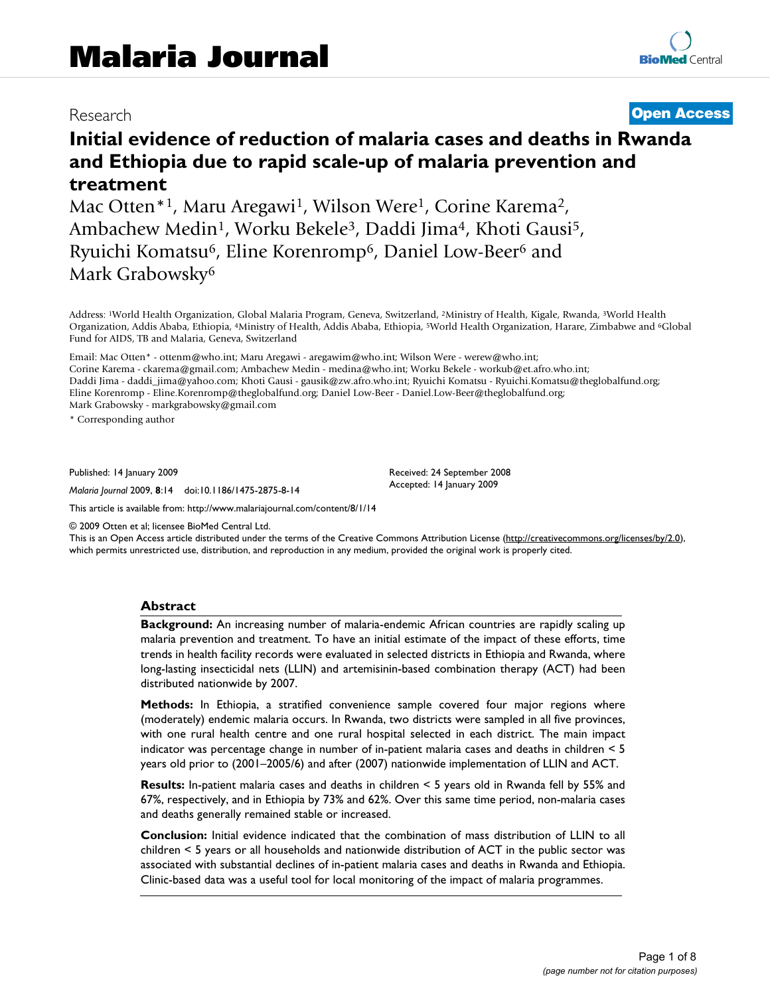Mac Otten\*<sup>1</sup>, Maru Aregawi<sup>1</sup>, Wilson Were<sup>1</sup>, Corine Karema<sup>2</sup>, Ambachew Medin<sup>1</sup>, Worku Bekele<sup>3</sup>, Daddi Jima<sup>4</sup>, Khoti Gausi<sup>5</sup>, Ryuichi Komatsu6, Eline Korenromp6, Daniel Low-Beer6 and Mark Grabowsky<sup>6</sup>

Address: 1World Health Organization, Global Malaria Program, Geneva, Switzerland, 2Ministry of Health, Kigale, Rwanda, 3World Health Organization, Addis Ababa, Ethiopia, 4Ministry of Health, Addis Ababa, Ethiopia, 5World Health Organization, Harare, Zimbabwe and 6Global Fund for AIDS, TB and Malaria, Geneva, Switzerland

Email: Mac Otten\* - ottenm@who.int; Maru Aregawi - aregawim@who.int; Wilson Were - werew@who.int; Corine Karema - ckarema@gmail.com; Ambachew Medin - medina@who.int; Worku Bekele - workub@et.afro.who.int; Daddi Jima - daddi\_jima@yahoo.com; Khoti Gausi - gausik@zw.afro.who.int; Ryuichi Komatsu - Ryuichi.Komatsu@theglobalfund.org; Eline Korenromp - Eline.Korenromp@theglobalfund.org; Daniel Low-Beer - Daniel.Low-Beer@theglobalfund.org; Mark Grabowsky - markgrabowsky@gmail.com

\* Corresponding author

Published: 14 January 2009

*Malaria Journal* 2009, **8**:14 doi:10.1186/1475-2875-8-14

[This article is available from: http://www.malariajournal.com/content/8/1/14](http://www.malariajournal.com/content/8/1/14)

© 2009 Otten et al; licensee BioMed Central Ltd.

This is an Open Access article distributed under the terms of the Creative Commons Attribution License [\(http://creativecommons.org/licenses/by/2.0\)](http://creativecommons.org/licenses/by/2.0), which permits unrestricted use, distribution, and reproduction in any medium, provided the original work is properly cited.

#### **Abstract**

**Background:** An increasing number of malaria-endemic African countries are rapidly scaling up malaria prevention and treatment. To have an initial estimate of the impact of these efforts, time trends in health facility records were evaluated in selected districts in Ethiopia and Rwanda, where long-lasting insecticidal nets (LLIN) and artemisinin-based combination therapy (ACT) had been distributed nationwide by 2007.

**Methods:** In Ethiopia, a stratified convenience sample covered four major regions where (moderately) endemic malaria occurs. In Rwanda, two districts were sampled in all five provinces, with one rural health centre and one rural hospital selected in each district. The main impact indicator was percentage change in number of in-patient malaria cases and deaths in children < 5 years old prior to (2001–2005/6) and after (2007) nationwide implementation of LLIN and ACT.

**Results:** In-patient malaria cases and deaths in children < 5 years old in Rwanda fell by 55% and 67%, respectively, and in Ethiopia by 73% and 62%. Over this same time period, non-malaria cases and deaths generally remained stable or increased.

**Conclusion:** Initial evidence indicated that the combination of mass distribution of LLIN to all children < 5 years or all households and nationwide distribution of ACT in the public sector was associated with substantial declines of in-patient malaria cases and deaths in Rwanda and Ethiopia. Clinic-based data was a useful tool for local monitoring of the impact of malaria programmes.

# Research **[Open Access](http://www.biomedcentral.com/info/about/charter/)**

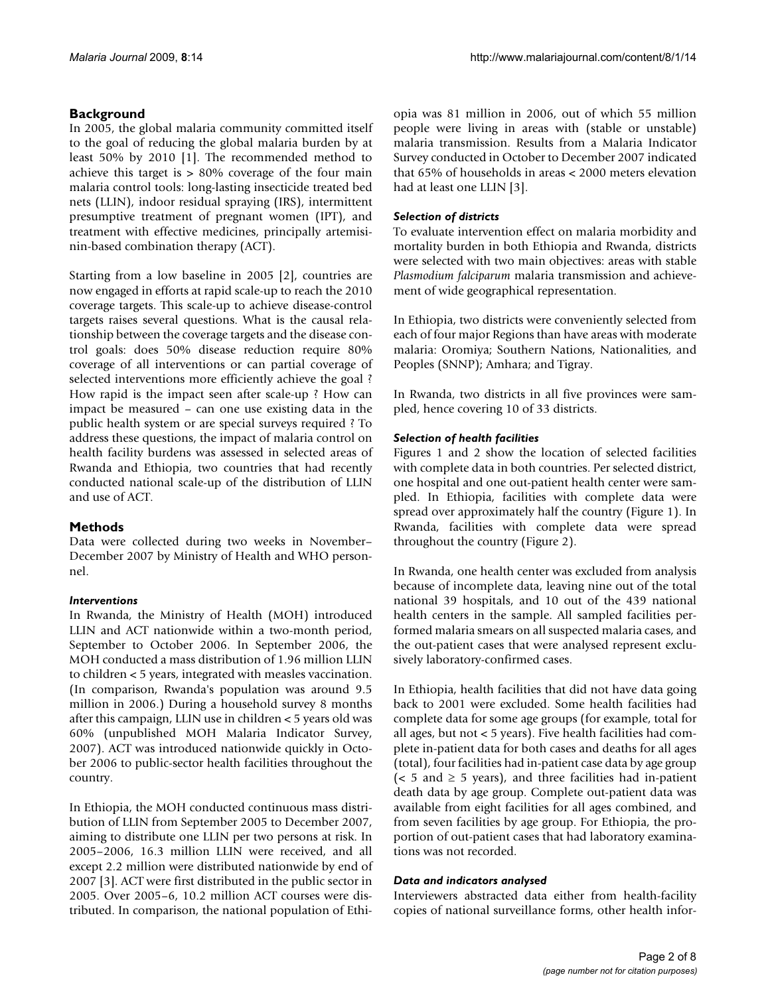## **Background**

In 2005, the global malaria community committed itself to the goal of reducing the global malaria burden by at least 50% by 2010 [[1](#page-7-0)]. The recommended method to achieve this target is > 80% coverage of the four main malaria control tools: long-lasting insecticide treated bed nets (LLIN), indoor residual spraying (IRS), intermittent presumptive treatment of pregnant women (IPT), and treatment with effective medicines, principally artemisinin-based combination therapy (ACT).

Starting from a low baseline in 2005 [\[2\]](#page-7-1), countries are now engaged in efforts at rapid scale-up to reach the 2010 coverage targets. This scale-up to achieve disease-control targets raises several questions. What is the causal relationship between the coverage targets and the disease control goals: does 50% disease reduction require 80% coverage of all interventions or can partial coverage of selected interventions more efficiently achieve the goal ? How rapid is the impact seen after scale-up ? How can impact be measured – can one use existing data in the public health system or are special surveys required ? To address these questions, the impact of malaria control on health facility burdens was assessed in selected areas of Rwanda and Ethiopia, two countries that had recently conducted national scale-up of the distribution of LLIN and use of ACT.

## **Methods**

Data were collected during two weeks in November– December 2007 by Ministry of Health and WHO personnel.

## *Interventions*

In Rwanda, the Ministry of Health (MOH) introduced LLIN and ACT nationwide within a two-month period, September to October 2006. In September 2006, the MOH conducted a mass distribution of 1.96 million LLIN to children < 5 years, integrated with measles vaccination. (In comparison, Rwanda's population was around 9.5 million in 2006.) During a household survey 8 months after this campaign, LLIN use in children < 5 years old was 60% (unpublished MOH Malaria Indicator Survey, 2007). ACT was introduced nationwide quickly in October 2006 to public-sector health facilities throughout the country.

In Ethiopia, the MOH conducted continuous mass distribution of LLIN from September 2005 to December 2007, aiming to distribute one LLIN per two persons at risk. In 2005–2006, 16.3 million LLIN were received, and all except 2.2 million were distributed nationwide by end of 2007 [[3\]](#page-7-2). ACT were first distributed in the public sector in 2005. Over 2005–6, 10.2 million ACT courses were distributed. In comparison, the national population of Ethiopia was 81 million in 2006, out of which 55 million people were living in areas with (stable or unstable) malaria transmission. Results from a Malaria Indicator Survey conducted in October to December 2007 indicated that 65% of households in areas < 2000 meters elevation had at least one LLIN [[3](#page-7-2)].

## *Selection of districts*

To evaluate intervention effect on malaria morbidity and mortality burden in both Ethiopia and Rwanda, districts were selected with two main objectives: areas with stable *Plasmodium falciparum* malaria transmission and achievement of wide geographical representation.

In Ethiopia, two districts were conveniently selected from each of four major Regions than have areas with moderate malaria: Oromiya; Southern Nations, Nationalities, and Peoples (SNNP); Amhara; and Tigray.

In Rwanda, two districts in all five provinces were sampled, hence covering 10 of 33 districts.

## *Selection of health facilities*

Figures [1](#page-2-0) and [2](#page-3-0) show the location of selected facilities with complete data in both countries. Per selected district, one hospital and one out-patient health center were sampled. In Ethiopia, facilities with complete data were spread over approximately half the country (Figure [1\)](#page-2-0). In Rwanda, facilities with complete data were spread throughout the country (Figure [2](#page-3-0)).

In Rwanda, one health center was excluded from analysis because of incomplete data, leaving nine out of the total national 39 hospitals, and 10 out of the 439 national health centers in the sample. All sampled facilities performed malaria smears on all suspected malaria cases, and the out-patient cases that were analysed represent exclusively laboratory-confirmed cases.

In Ethiopia, health facilities that did not have data going back to 2001 were excluded. Some health facilities had complete data for some age groups (for example, total for all ages, but not < 5 years). Five health facilities had complete in-patient data for both cases and deaths for all ages (total), four facilities had in-patient case data by age group ( $< 5$  and  $\geq 5$  years), and three facilities had in-patient death data by age group. Complete out-patient data was available from eight facilities for all ages combined, and from seven facilities by age group. For Ethiopia, the proportion of out-patient cases that had laboratory examinations was not recorded.

## *Data and indicators analysed*

Interviewers abstracted data either from health-facility copies of national surveillance forms, other health infor-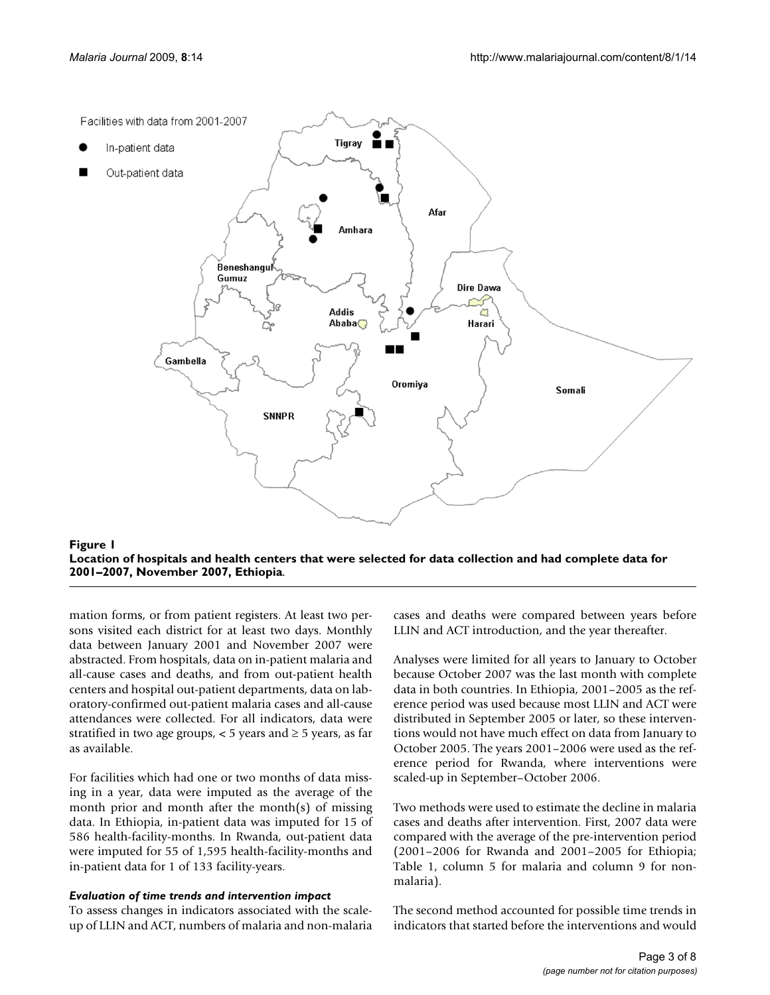<span id="page-2-0"></span>



mation forms, or from patient registers. At least two persons visited each district for at least two days. Monthly data between January 2001 and November 2007 were abstracted. From hospitals, data on in-patient malaria and all-cause cases and deaths, and from out-patient health centers and hospital out-patient departments, data on laboratory-confirmed out-patient malaria cases and all-cause attendances were collected. For all indicators, data were stratified in two age groups,  $<$  5 years and  $\ge$  5 years, as far as available.

For facilities which had one or two months of data missing in a year, data were imputed as the average of the month prior and month after the month(s) of missing data. In Ethiopia, in-patient data was imputed for 15 of 586 health-facility-months. In Rwanda, out-patient data were imputed for 55 of 1,595 health-facility-months and in-patient data for 1 of 133 facility-years.

#### *Evaluation of time trends and intervention impact*

To assess changes in indicators associated with the scaleup of LLIN and ACT, numbers of malaria and non-malaria cases and deaths were compared between years before LLIN and ACT introduction, and the year thereafter.

Analyses were limited for all years to January to October because October 2007 was the last month with complete data in both countries. In Ethiopia, 2001–2005 as the reference period was used because most LLIN and ACT were distributed in September 2005 or later, so these interventions would not have much effect on data from January to October 2005. The years 2001–2006 were used as the reference period for Rwanda, where interventions were scaled-up in September–October 2006.

Two methods were used to estimate the decline in malaria cases and deaths after intervention. First, 2007 data were compared with the average of the pre-intervention period (2001–2006 for Rwanda and 2001–2005 for Ethiopia; Table [1,](#page-4-0) column 5 for malaria and column 9 for nonmalaria).

The second method accounted for possible time trends in indicators that started before the interventions and would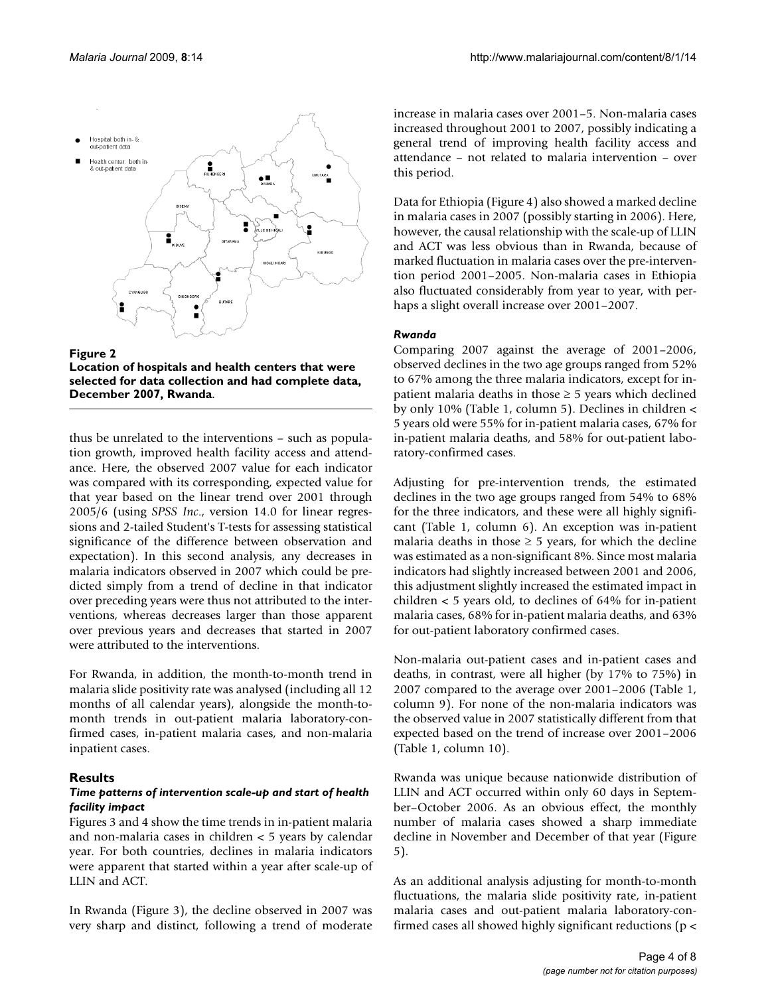<span id="page-3-0"></span>



thus be unrelated to the interventions – such as population growth, improved health facility access and attendance. Here, the observed 2007 value for each indicator was compared with its corresponding, expected value for that year based on the linear trend over 2001 through 2005/6 (using *SPSS Inc*., version 14.0 for linear regressions and 2-tailed Student's T-tests for assessing statistical significance of the difference between observation and expectation). In this second analysis, any decreases in malaria indicators observed in 2007 which could be predicted simply from a trend of decline in that indicator over preceding years were thus not attributed to the interventions, whereas decreases larger than those apparent over previous years and decreases that started in 2007 were attributed to the interventions.

For Rwanda, in addition, the month-to-month trend in malaria slide positivity rate was analysed (including all 12 months of all calendar years), alongside the month-tomonth trends in out-patient malaria laboratory-confirmed cases, in-patient malaria cases, and non-malaria inpatient cases.

## **Results**

#### *Time patterns of intervention scale-up and start of health facility impact*

Figures [3](#page-5-0) and [4](#page-6-0) show the time trends in in-patient malaria and non-malaria cases in children < 5 years by calendar year. For both countries, declines in malaria indicators were apparent that started within a year after scale-up of LLIN and ACT.

In Rwanda (Figure [3\)](#page-5-0), the decline observed in 2007 was very sharp and distinct, following a trend of moderate increase in malaria cases over 2001–5. Non-malaria cases increased throughout 2001 to 2007, possibly indicating a general trend of improving health facility access and attendance – not related to malaria intervention – over this period.

Data for Ethiopia (Figure [4](#page-6-0)) also showed a marked decline in malaria cases in 2007 (possibly starting in 2006). Here, however, the causal relationship with the scale-up of LLIN and ACT was less obvious than in Rwanda, because of marked fluctuation in malaria cases over the pre-intervention period 2001–2005. Non-malaria cases in Ethiopia also fluctuated considerably from year to year, with perhaps a slight overall increase over 2001–2007.

#### *Rwanda*

Comparing 2007 against the average of 2001–2006, observed declines in the two age groups ranged from 52% to 67% among the three malaria indicators, except for inpatient malaria deaths in those  $\geq$  5 years which declined by only 10% (Table [1](#page-4-0), column 5). Declines in children < 5 years old were 55% for in-patient malaria cases, 67% for in-patient malaria deaths, and 58% for out-patient laboratory-confirmed cases.

Adjusting for pre-intervention trends, the estimated declines in the two age groups ranged from 54% to 68% for the three indicators, and these were all highly significant (Table [1,](#page-4-0) column 6). An exception was in-patient malaria deaths in those  $\geq$  5 years, for which the decline was estimated as a non-significant 8%. Since most malaria indicators had slightly increased between 2001 and 2006, this adjustment slightly increased the estimated impact in children < 5 years old, to declines of 64% for in-patient malaria cases, 68% for in-patient malaria deaths, and 63% for out-patient laboratory confirmed cases.

Non-malaria out-patient cases and in-patient cases and deaths, in contrast, were all higher (by 17% to 75%) in 2007 compared to the average over 2001–2006 (Table [1,](#page-4-0) column 9). For none of the non-malaria indicators was the observed value in 2007 statistically different from that expected based on the trend of increase over 2001–2006 (Table [1,](#page-4-0) column 10).

Rwanda was unique because nationwide distribution of LLIN and ACT occurred within only 60 days in September–October 2006. As an obvious effect, the monthly number of malaria cases showed a sharp immediate decline in November and December of that year (Figure [5](#page-7-3)).

As an additional analysis adjusting for month-to-month fluctuations, the malaria slide positivity rate, in-patient malaria cases and out-patient malaria laboratory-confirmed cases all showed highly significant reductions (p <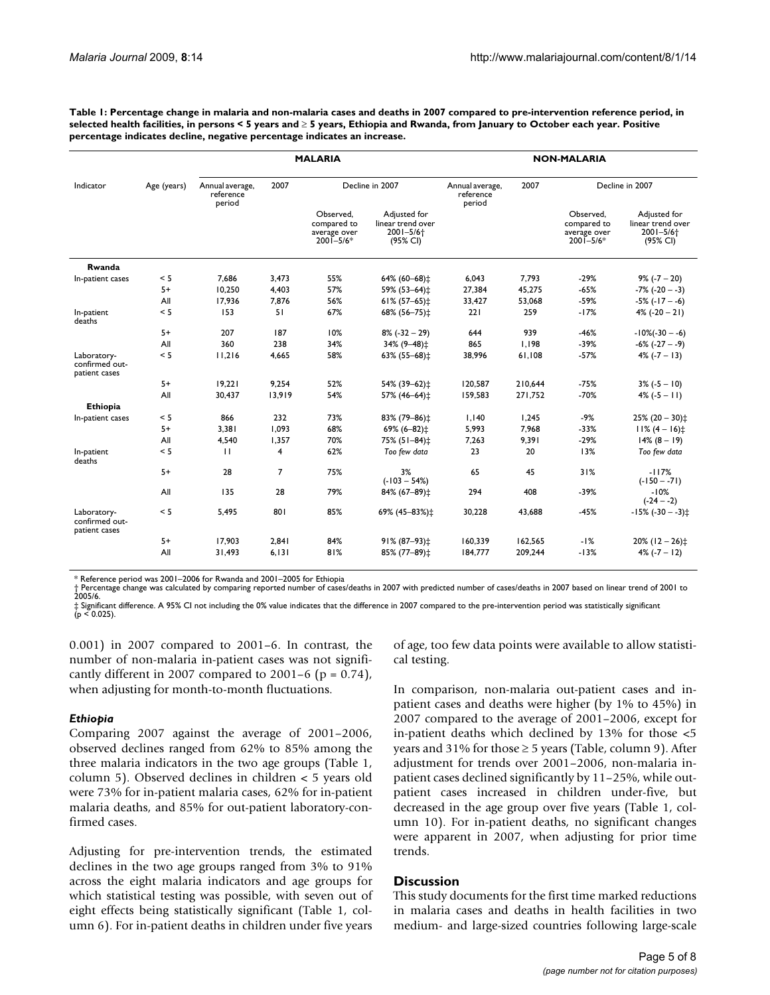<span id="page-4-0"></span>**Table 1: Percentage change in malaria and non-malaria cases and deaths in 2007 compared to pre-intervention reference period, in selected health facilities, in persons < 5 years and** ≥ **5 years, Ethiopia and Rwanda, from January to October each year. Positive percentage indicates decline, negative percentage indicates an increase.**

|                                                | Age (years) | <b>MALARIA</b>                         |        |                                                           |                                                                            | <b>NON-MALARIA</b>                     |         |                                                           |                                                                            |
|------------------------------------------------|-------------|----------------------------------------|--------|-----------------------------------------------------------|----------------------------------------------------------------------------|----------------------------------------|---------|-----------------------------------------------------------|----------------------------------------------------------------------------|
| Indicator                                      |             | Annual average,<br>reference<br>period | 2007   | Decline in 2007                                           |                                                                            | Annual average,<br>reference<br>period | 2007    | Decline in 2007                                           |                                                                            |
|                                                |             |                                        |        | Observed.<br>compared to<br>average over<br>$2001 - 5/6*$ | Adjusted for<br>linear trend over<br>$2001 - 5/6$ <sup>+</sup><br>(95% CI) |                                        |         | Observed.<br>compared to<br>average over<br>$2001 - 5/6*$ | Adjusted for<br>linear trend over<br>$2001 - 5/6$ <sup>+</sup><br>(95% CI) |
| Rwanda                                         |             |                                        |        |                                                           |                                                                            |                                        |         |                                                           |                                                                            |
| In-patient cases                               | < 5         | 7.686                                  | 3,473  | 55%                                                       | 64% (60-68) $\ddagger$                                                     | 6,043                                  | 7.793   | $-29%$                                                    | $9\%$ (-7 - 20)                                                            |
|                                                | $5+$        | 10,250                                 | 4,403  | 57%                                                       | 59% (53-64)±                                                               | 27,384                                 | 45,275  | $-65%$                                                    | $-7\%$ ( $-20 - -3$ )                                                      |
|                                                | All         | 17.936                                 | 7.876  | 56%                                                       | $61\% (57 - 65)$ ±                                                         | 33,427                                 | 53,068  | $-59%$                                                    | $-5\%$ ( $-17 - -6$ )                                                      |
| In-patient<br>deaths                           | < 5         | 153                                    | 51     | 67%                                                       | 68% (56-75)±                                                               | 221                                    | 259     | $-17%$                                                    | $4\%$ (-20 - 21)                                                           |
|                                                | $5+$        | 207                                    | 187    | 10%                                                       | $8\%$ (-32 - 29)                                                           | 644                                    | 939     | $-46%$                                                    | $-10\%(-30 - -6)$                                                          |
|                                                | All         | 360                                    | 238    | 34%                                                       | 34% (9-48) $\ddagger$                                                      | 865                                    | 1,198   | $-39%$                                                    | $-6\%$ $(-27 - -9)$                                                        |
| Laboratory-<br>confirmed out-<br>patient cases | < 5         | 11,216                                 | 4.665  | 58%                                                       | 63% (55-68) ±                                                              | 38,996                                 | 61.108  | $-57%$                                                    | $4\%$ ( $-7 - 13$ )                                                        |
|                                                | $5+$        | 19.221                                 | 9.254  | 52%                                                       | 54% (39-62)±                                                               | 120,587                                | 210.644 | $-75%$                                                    | $3\% (-5 - 10)$                                                            |
|                                                | All         | 30,437                                 | 13,919 | 54%                                                       | 57% (46-64) $\ddagger$                                                     | 159,583                                | 271,752 | $-70%$                                                    | $4\%$ ( $-5 - 11$ )                                                        |
| <b>Ethiopia</b>                                |             |                                        |        |                                                           |                                                                            |                                        |         |                                                           |                                                                            |
| In-patient cases                               | < 5         | 866                                    | 232    | 73%                                                       | 83% (79-86) $\pm$                                                          | 1,140                                  | 1,245   | $-9%$                                                     | $25\% (20 - 30)$ ±                                                         |
|                                                | $5+$        | 3.381                                  | 1.093  | 68%                                                       | 69% (6-82)‡                                                                | 5,993                                  | 7.968   | $-33%$                                                    | $11\% (4 - 16)$                                                            |
|                                                | All         | 4,540                                  | 1,357  | 70%                                                       | 75% (51-84) <sup>+</sup>                                                   | 7,263                                  | 9,391   | $-29%$                                                    | $14\% (8 - 19)$                                                            |
| In-patient<br>deaths                           | < 5         | $\mathbf{H}$                           | 4      | 62%                                                       | Too few data                                                               | 23                                     | 20      | 13%                                                       | Too few data                                                               |
|                                                | $5+$        | 28                                     | 7      | 75%                                                       | 3%<br>$(-103 - 54%)$                                                       | 65                                     | 45      | 31%                                                       | $-117%$<br>$(-150 - -71)$                                                  |
|                                                | All         | 135                                    | 28     | 79%                                                       | 84% (67-89) $\ddagger$                                                     | 294                                    | 408     | $-39%$                                                    | $-10%$<br>$(-24 - -2)$                                                     |
| Laboratory-<br>confirmed out-<br>patient cases | < 5         | 5,495                                  | 801    | 85%                                                       | 69% (45-83%)±                                                              | 30,228                                 | 43,688  | $-45%$                                                    | $-15\%$ (-30 - -3) $\pm$                                                   |
|                                                | $5+$        | 17.903                                 | 2.841  | 84%                                                       | 91% (87-93)‡                                                               | 160,339                                | 162,565 | $-1%$                                                     | $20\%$ (12 - 26) $\ddagger$                                                |
|                                                | All         | 31.493                                 | 6.131  | 81%                                                       | 85% (77-89) $\pm$                                                          | 184,777                                | 209.244 | $-13%$                                                    | $4\%$ (-7 - 12)                                                            |

\* Reference period was 2001–2006 for Rwanda and 2001–2005 for Ethiopia

† Percentage change was calculated by comparing reported number of cases/deaths in 2007 with predicted number of cases/deaths in 2007 based on linear trend of 2001 to t Perc.<br>2005/6.

‡ Significant difference. A 95% CI not including the 0% value indicates that the difference in 2007 compared to the pre-intervention period was statistically significant  $(p < 0.025)$ .

0.001) in 2007 compared to 2001–6. In contrast, the number of non-malaria in-patient cases was not significantly different in 2007 compared to 2001–6 ( $p = 0.74$ ), when adjusting for month-to-month fluctuations.

#### *Ethiopia*

Comparing 2007 against the average of 2001–2006, observed declines ranged from 62% to 85% among the three malaria indicators in the two age groups (Table [1,](#page-4-0) column 5). Observed declines in children < 5 years old were 73% for in-patient malaria cases, 62% for in-patient malaria deaths, and 85% for out-patient laboratory-confirmed cases.

Adjusting for pre-intervention trends, the estimated declines in the two age groups ranged from 3% to 91% across the eight malaria indicators and age groups for which statistical testing was possible, with seven out of eight effects being statistically significant (Table [1,](#page-4-0) column 6). For in-patient deaths in children under five years of age, too few data points were available to allow statistical testing.

In comparison, non-malaria out-patient cases and inpatient cases and deaths were higher (by 1% to 45%) in 2007 compared to the average of 2001–2006, except for in-patient deaths which declined by 13% for those <5 years and 31% for those  $\geq$  5 years (Table, column 9). After adjustment for trends over 2001–2006, non-malaria inpatient cases declined significantly by 11–25%, while outpatient cases increased in children under-five, but decreased in the age group over five years (Table [1](#page-4-0), column 10). For in-patient deaths, no significant changes were apparent in 2007, when adjusting for prior time trends.

#### **Discussion**

This study documents for the first time marked reductions in malaria cases and deaths in health facilities in two medium- and large-sized countries following large-scale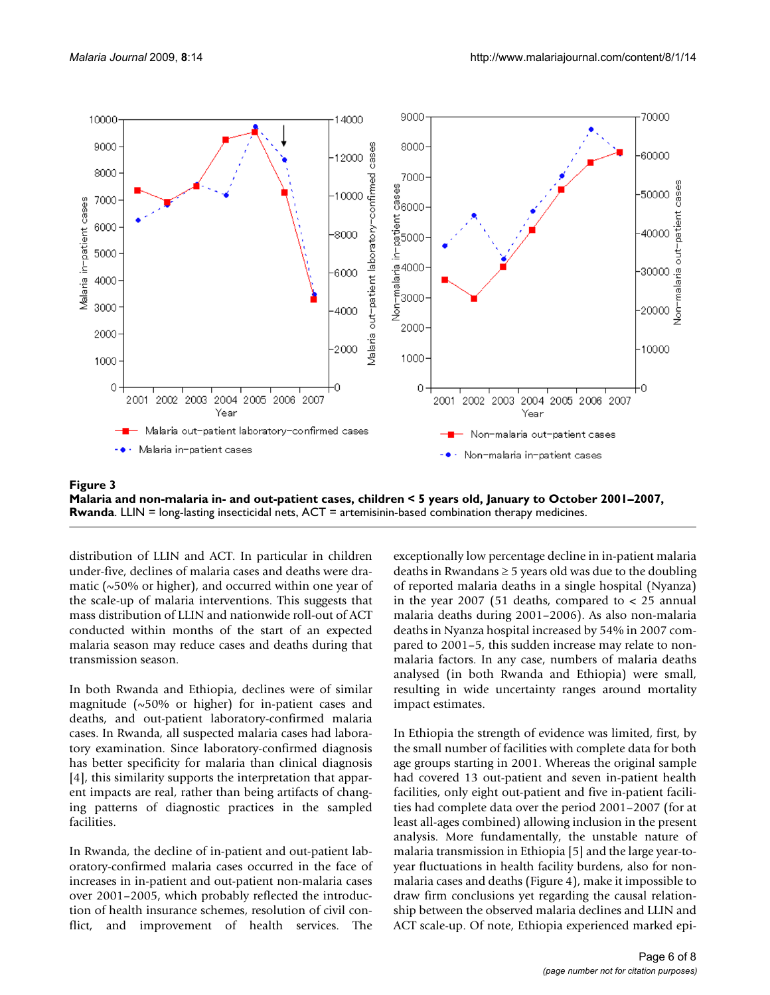<span id="page-5-0"></span>

**Malaria and non-malaria in- and out-patient cases, children < 5 years old, January to October 2001–2007, Rwanda**. LLIN = long-lasting insecticidal nets, ACT = artemisinin-based combination therapy medicines.

distribution of LLIN and ACT. In particular in children under-five, declines of malaria cases and deaths were dramatic ( $\sim$ 50% or higher), and occurred within one year of the scale-up of malaria interventions. This suggests that mass distribution of LLIN and nationwide roll-out of ACT conducted within months of the start of an expected malaria season may reduce cases and deaths during that transmission season.

In both Rwanda and Ethiopia, declines were of similar magnitude (~50% or higher) for in-patient cases and deaths, and out-patient laboratory-confirmed malaria cases. In Rwanda, all suspected malaria cases had laboratory examination. Since laboratory-confirmed diagnosis has better specificity for malaria than clinical diagnosis [[4\]](#page-7-4), this similarity supports the interpretation that apparent impacts are real, rather than being artifacts of changing patterns of diagnostic practices in the sampled facilities.

In Rwanda, the decline of in-patient and out-patient laboratory-confirmed malaria cases occurred in the face of increases in in-patient and out-patient non-malaria cases over 2001–2005, which probably reflected the introduction of health insurance schemes, resolution of civil conflict, and improvement of health services. The exceptionally low percentage decline in in-patient malaria deaths in Rwandans  $\geq$  5 years old was due to the doubling of reported malaria deaths in a single hospital (Nyanza) in the year 2007 (51 deaths, compared to  $<$  25 annual malaria deaths during 2001–2006). As also non-malaria deaths in Nyanza hospital increased by 54% in 2007 compared to 2001–5, this sudden increase may relate to nonmalaria factors. In any case, numbers of malaria deaths analysed (in both Rwanda and Ethiopia) were small, resulting in wide uncertainty ranges around mortality impact estimates.

In Ethiopia the strength of evidence was limited, first, by the small number of facilities with complete data for both age groups starting in 2001. Whereas the original sample had covered 13 out-patient and seven in-patient health facilities, only eight out-patient and five in-patient facilities had complete data over the period 2001–2007 (for at least all-ages combined) allowing inclusion in the present analysis. More fundamentally, the unstable nature of malaria transmission in Ethiopia [\[5\]](#page-7-5) and the large year-toyear fluctuations in health facility burdens, also for nonmalaria cases and deaths (Figure [4](#page-6-0)), make it impossible to draw firm conclusions yet regarding the causal relationship between the observed malaria declines and LLIN and ACT scale-up. Of note, Ethiopia experienced marked epi-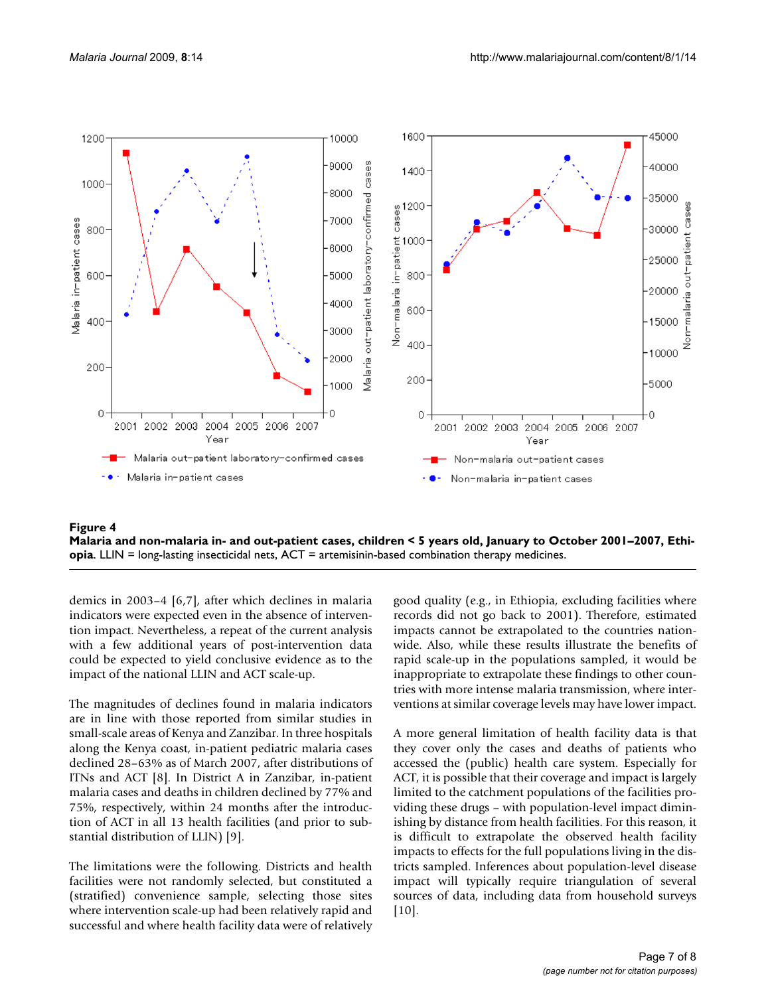<span id="page-6-0"></span>

Malaria and non-malaria in- and out-patient cases, chil **Figure 4** dren < 5 years old, January to October 2001–2007, Ethiopia **Malaria and non-malaria in- and out-patient cases, children < 5 years old, January to October 2001–2007, Ethiopia**. LLIN = long-lasting insecticidal nets, ACT = artemisinin-based combination therapy medicines.

demics in 2003–4 [[6](#page-7-6),[7](#page-7-7)], after which declines in malaria indicators were expected even in the absence of intervention impact. Nevertheless, a repeat of the current analysis with a few additional years of post-intervention data could be expected to yield conclusive evidence as to the impact of the national LLIN and ACT scale-up.

The magnitudes of declines found in malaria indicators are in line with those reported from similar studies in small-scale areas of Kenya and Zanzibar. In three hospitals along the Kenya coast, in-patient pediatric malaria cases declined 28–63% as of March 2007, after distributions of ITNs and ACT [[8](#page-7-8)]. In District A in Zanzibar, in-patient malaria cases and deaths in children declined by 77% and 75%, respectively, within 24 months after the introduction of ACT in all 13 health facilities (and prior to substantial distribution of LLIN) [\[9\]](#page-7-9).

The limitations were the following. Districts and health facilities were not randomly selected, but constituted a (stratified) convenience sample, selecting those sites where intervention scale-up had been relatively rapid and successful and where health facility data were of relatively

good quality (e.g., in Ethiopia, excluding facilities where records did not go back to 2001). Therefore, estimated impacts cannot be extrapolated to the countries nationwide. Also, while these results illustrate the benefits of rapid scale-up in the populations sampled, it would be inappropriate to extrapolate these findings to other countries with more intense malaria transmission, where interventions at similar coverage levels may have lower impact.

A more general limitation of health facility data is that they cover only the cases and deaths of patients who accessed the (public) health care system. Especially for ACT, it is possible that their coverage and impact is largely limited to the catchment populations of the facilities providing these drugs – with population-level impact diminishing by distance from health facilities. For this reason, it is difficult to extrapolate the observed health facility impacts to effects for the full populations living in the districts sampled. Inferences about population-level disease impact will typically require triangulation of several sources of data, including data from household surveys [[10](#page-7-10)].